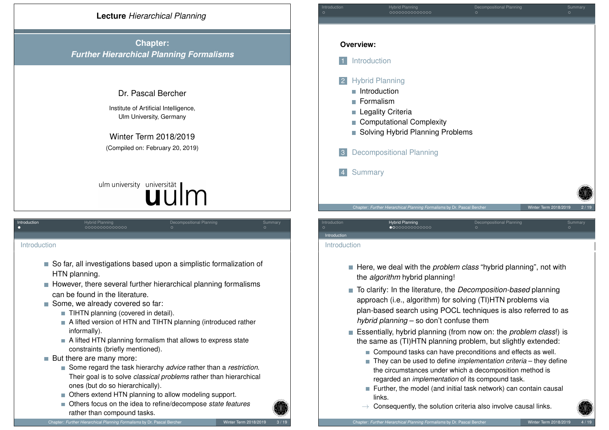

**Chapter:** *Further Hierarchical Planning Formalisms*

# Dr. Pascal Bercher

Institute of Artificial Intelligence, Ulm University, Germany

Winter Term 2018/2019 (Compiled on: February 20, 2019)

# ulm university universität

<span id="page-0-0"></span>

| Introduction  | <b>Hybrid Planning</b><br>0000000000000                                                                         | Decompositional Planning<br>$\circ$                                                                                                                                                 | Summary<br>$\circ$ |
|---------------|-----------------------------------------------------------------------------------------------------------------|-------------------------------------------------------------------------------------------------------------------------------------------------------------------------------------|--------------------|
|               |                                                                                                                 |                                                                                                                                                                                     |                    |
| Introduction  |                                                                                                                 |                                                                                                                                                                                     |                    |
|               | So far, all investigations based upon a simplistic formalization of<br>HTN planning.                            |                                                                                                                                                                                     |                    |
|               | However, there several further hierarchical planning formalisms<br>can be found in the literature.              |                                                                                                                                                                                     |                    |
| <b>I</b>      | Some, we already covered so far:                                                                                |                                                                                                                                                                                     |                    |
|               | TIHTN planning (covered in detail).                                                                             |                                                                                                                                                                                     |                    |
|               | A lifted version of HTN and TIHTN planning (introduced rather<br>informally).                                   |                                                                                                                                                                                     |                    |
|               | $\blacksquare$ A lifted HTN planning formalism that allows to express state<br>constraints (briefly mentioned). |                                                                                                                                                                                     |                    |
| <b>The Co</b> | But there are many more:                                                                                        |                                                                                                                                                                                     |                    |
|               | Some regard the task hierarchy advice rather than a restriction.<br>П<br>ones (but do so hierarchically).       | Their goal is to solve <i>classical problems</i> rather than hierarchical<br>$\bigcap$ the concept of a term of the contract of the concept of the conceptual $\bigcup_{i=1}^n A_i$ |                    |

- Others extend HTN planning to allow modeling support.
- Others focus on the idea to refine/decompose *state features* rather than compound tasks.

**Overview: Introduction Hybrid Planning** Introduction **Formalism Legality Criteria** Computational Complexity ■ Solving Hybrid Planning Problems **3** Decompositional Planning **Summary** Chapter: Further Hierarchical Planning Formalisms by Dr. Pascal Be

Introduction **Music Planning Decompositional Planning Summary** Summary

# Introduction **Hybrid Planning Compositional Planning Summary** Summary Introduction

- Here, we deal with the *problem class* "hybrid planning", not with the *algorithm* hybrid planning!
- To clarify: In the literature, the *Decomposition-based* planning approach (i.e., algorithm) for solving (TI)HTN problems via plan-based search using POCL techniques is also referred to as *hybrid planning* – so don't confuse them
- Essentially, hybrid planning (from now on: the *problem class*!) is the same as (TI)HTN planning problem, but slightly extended:
	- Compound tasks can have preconditions and effects as well.
	- They can be used to define *implementation criteria* they define the circumstances under which a decomposition method is regarded an *implementation* of its compound task.
	- Further, the model (and initial task network) can contain causal links.
	- $\rightarrow$  Consequently, the solution criteria also involve causal links.

Introduction

Chapter: *Further Hierarchical Planning Formalisms* by Dr. Pascal Bercher Winter Term 2018/2019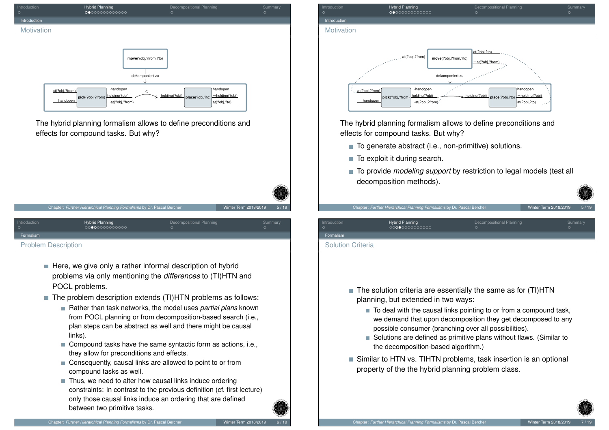

The hybrid planning formalism allows to define preconditions and effects for compound tasks. But why?

|              | Chapter: Further Hierarchical Planning Formalisms by Dr. Pascal Bercher |                                    | Winter Term 2018/2019 | 5/19    |
|--------------|-------------------------------------------------------------------------|------------------------------------|-----------------------|---------|
| Introduction | <b>Hybrid Planning</b>                                                  | Decompositional Planning<br>$\cap$ | $\cap$                | Summary |

[Pro](#page-0-0)blem Descr[ip](#page-0-0)[tio](#page-1-0)[n](#page-2-0)

<span id="page-1-0"></span>[Fo](#page-0-0)rmalism

- $\blacksquare$  Here, we give only a rather informal description of hybrid problems via only mentioning the *differences* to (TI)HTN and POCL problems.
- $\blacksquare$  The problem description extends (TI)HTN problems as follows:
	- Rather than task networks, the model uses *partial plans* known from POCL planning or from decomposition-based search (i.e., plan steps can be abstract as well and there might be causal links).
	- Compound tasks have the same syntactic form as actions, i.e., they allow for preconditions and effects.
	- Consequently, causal links are allowed to point to or from compound tasks as well.
	- $\blacksquare$  Thus, we need to alter how causal links induce ordering constraints: In contrast to the previous definition (cf. first lecture) only those causal links induce an ordering that are defined between two primitive tasks.



The hybrid planning formalism allows to define preconditions and effects for compound tasks. But why?

- $\blacksquare$  To generate abstract (i.e., non-primitive) solutions.
- $\blacksquare$  To exploit it during search.

Formalism

Solution Criteria

■ To provide *modeling support* by restriction to legal models (test all decomposition methods).

Chapter: Further Hierarchical Planning Formalisms by Dr. Pascal Be

 $\blacksquare$  The solution criteria are essentially the same as for (TI)HTN planning, but extended in two ways:

Introduction **Hybrid Planning Compositional Planning Summary** Summary

- $\blacksquare$  To deal with the causal links pointing to or from a compound task, we demand that upon decomposition they get decomposed to any possible consumer (branching over all possibilities).
- Solutions are defined as primitive plans without flaws. (Similar to the decomposition-based algorithm.)
- Similar to HTN vs. TIHTN problems, task insertion is an optional property of the the hybrid planning problem class.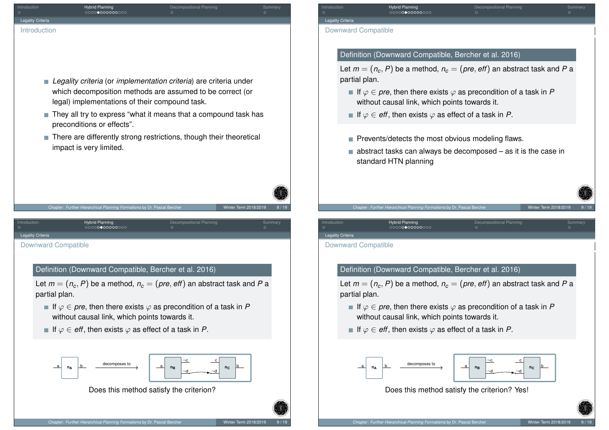<span id="page-2-0"></span>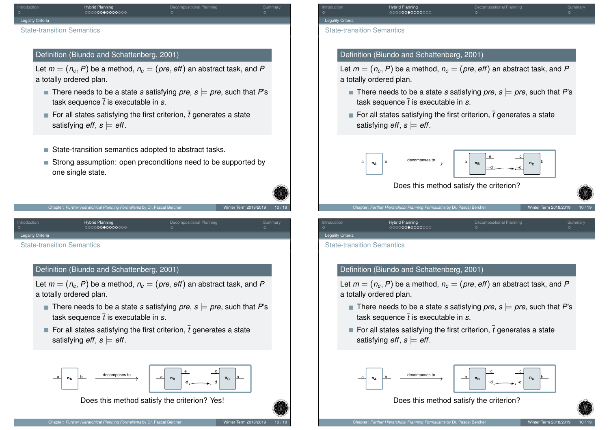| Introduction                      | <b>Hybrid Planning</b><br>0000000000000 | Decompositional Planning | Summary |
|-----------------------------------|-----------------------------------------|--------------------------|---------|
| <b>Legality Criteria</b>          |                                         |                          |         |
| <b>State-transition Semantics</b> |                                         |                          |         |

# Definition (Biundo and Schattenberg, 2001)

Let  $m = (n_c, P)$  be a method,  $n_c = (pre, eff)$  an abstract task, and P a totally ordered plan.

- There needs to be a state *s* satisfying *pre*,  $s \models pre$ , such that *P*'s task sequence ¯*t* is executable in *s*.
- For all states satisfying the first criterion,  $\bar{t}$  generates a state satisfying  $\textit{eff}, \textit{s} \models \textit{eff}.$
- State-transition semantics adopted to abstract tasks.
- Strong assumption: open preconditions need to be supported by one single state.



Introduction **Article Planning Decompositional Planning Summary** Summary

<span id="page-3-0"></span>[Le](#page-0-0)gality Criteria

[State](#page-2-0)-transition[Se](#page-1-0)[ma](#page-2-0)[n](#page-4-0)[ti](#page-5-0)[c](#page-6-0)[s](#page-7-0)

# Definition (Biundo and Schattenberg, 2001)

Let  $m = (n_c, P)$  be a method,  $n_c = (pre, eff)$  an abstract task, and P a totally ordered plan.

- There needs to be a state *s* satisfying *pre*,  $s \models pre$ , such that *P*'s task sequence  $\bar{t}$  is executable in  $s$ .
- For all states satisfying the first criterion,  $\bar{t}$  generates a state satisfying  $\textit{eff}, \textit{s} \models \textit{eff}.$



Does this method satisfy the criterion? Yes!

Introduction **Hybrid Planning Compositional Planning Summary** Summary Legality Criteria State-transition Semantics

# Definition (Biundo and Schattenberg, 2001)

Let  $m = (n_c, P)$  be a method,  $n_c = (pre, eff)$  an abstract task, and P a totally ordered plan.

- There needs to be a state *s* satisfying *pre*,  $s \models pre$ , such that *P*'s task sequence  $\bar{t}$  is executable in  $s$ .
- For all states satisfying the first criterion,  $\bar{t}$  generates a state satisfying  $\textit{eff}, \textit{s} \models \textit{eff}.$



Does this method satisfy the criterion?

Chapter: Further Hierarchical Planning Formalisms by Dr. Pascal Berch

Introduction **Hybrid Planning Compositional Planning Summary** Summary Legality Criteria

State-transition Semantics

# Definition (Biundo and Schattenberg, 2001)

Let  $m = (n_c, P)$  be a method,  $n_c = (pre, eff)$  an abstract task, and P a totally ordered plan.

- There needs to be a state *s* satisfying *pre*,  $s \models pre$ , such that *P*'s task sequence  $\bar{t}$  is executable in  $s$ .
- For all states satisfying the first criterion,  $\bar{t}$  generates a state satisfying  $\textit{eff}, \textit{s} \models \textit{eff}.$



Does this method satisfy the criterion?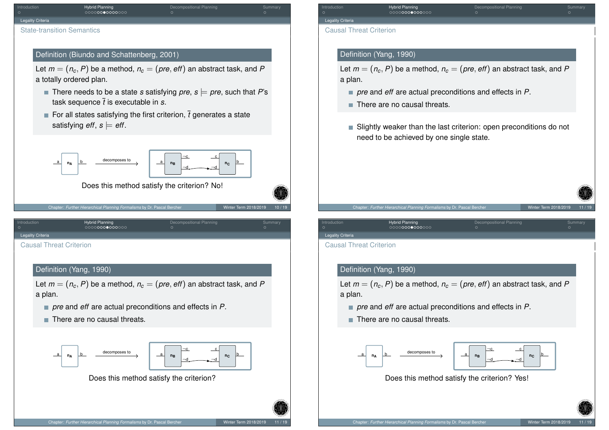| Introduction<br>$\circ$                                | Hybrid Planning<br>0000 <b>00●0000</b> 000                                                        | Decompositional Planning                                                                                                                       | Summary          | Introduction<br>$\circ$                             | ೦೦೦೦                                         |
|--------------------------------------------------------|---------------------------------------------------------------------------------------------------|------------------------------------------------------------------------------------------------------------------------------------------------|------------------|-----------------------------------------------------|----------------------------------------------|
| Legality Criteria<br><b>State-transition Semantics</b> |                                                                                                   |                                                                                                                                                |                  | Legality Criteria<br><b>Causal Threat Criterion</b> |                                              |
|                                                        | Definition (Biundo and Schattenberg, 2001)                                                        |                                                                                                                                                |                  |                                                     | Definition (Yang, 1                          |
|                                                        | a totally ordered plan.                                                                           | Let $m = (n_c, P)$ be a method, $n_c = (pre, eff)$ an abstract task, and P                                                                     |                  | a plan.                                             | Let $m = (n_c, P)$ be                        |
|                                                        | task sequence $\bar{t}$ is executable in s.                                                       | <b>There needs to be a state s satisfying pre, s</b> $\models$ pre, such that P's                                                              |                  |                                                     | pre and eff a<br>$\blacksquare$ There are no |
|                                                        | satisfying <i>eff</i> , $s \models \textit{eff}$ .                                                | For all states satisfying the first criterion, $\bar{t}$ generates a state                                                                     |                  |                                                     | ■ Slightly weak                              |
| _a<br>$n_A$                                            | decomposes to<br>b                                                                                | $\overline{\phantom{a}}^{\mathrm{c}}$<br>$\mathbf{c}$<br>$\overline{a}$<br>$n_{\rm C}$<br>$n_B$<br>Does this method satisfy the criterion? No! |                  |                                                     | need to be ad                                |
| Introduction                                           | Chapter: Further Hierarchical Planning Formalisms by Dr. Pascal Bercher<br><b>Hybrid Planning</b> | Winter Term 2018/2019<br>Decompositional Planning                                                                                              | 10/19<br>Summary | Introduction                                        | Chapter: Further Hierarch<br>Hybrid          |
| Legality Criteria                                      | 0000000000000                                                                                     |                                                                                                                                                |                  | Legality Criteria                                   | nooc                                         |
| <b>Causal Threat Criterion</b>                         |                                                                                                   |                                                                                                                                                |                  | <b>Causal Threat Criterion</b>                      |                                              |
|                                                        | Definition (Yang, 1990)                                                                           |                                                                                                                                                |                  |                                                     | Definition (Yang, 1                          |
| a plan.                                                |                                                                                                   | Let $m = (n_c, P)$ be a method, $n_c = (pre, eff)$ an abstract task, and P                                                                     |                  | a plan.                                             | Let $m = (n_c, P)$ be                        |
|                                                        |                                                                                                   | $\blacksquare$ pre and eff are actual preconditions and effects in P.                                                                          |                  |                                                     | pre and eff a                                |
|                                                        | There are no causal threats.                                                                      |                                                                                                                                                |                  |                                                     | $\blacksquare$ There are no                  |
|                                                        | decomposes to<br>$\mathbf{h}$                                                                     | $\lnot c$<br>$\overline{\phantom{a}}^{\phantom{a}}$                                                                                            |                  |                                                     |                                              |

¬d <sup>a</sup> **<sup>n</sup><sup>C</sup>**

Does this method satisfy the criterion?

**I Planning Decompositional Planning Summary Summary**<br>Decompositional Planning Summary Summary Summary Summary Summary

# 990)

 $\Omega$ e a method,  $n_c = (pre, eff)$  an abstract task, and  $P$ 

- *pre* actual preconditions and effects in *P*.
- causal threats.
- ser than the last criterion: open preconditions do not chieved by one single state.

Introduction **Hybrid Planning Compositional Planning Summary** Summary

Cal Planning Formalisms by Dr. Pascal Bercher Winter Winter Term 2018/2019

# 990)

 $\Omega$ e a method,  $n_c = (pre, eff)$  an abstract task, and  $P$ 

- *pre* and *eff* are actual preconditions and effects in *P*.
- causal threats.



Does this method satisfy the criterion? Yes!

<span id="page-4-0"></span> $a \rightarrow a$  **na** b **decomposes to**  $\rightarrow$  **a nB** 

**nA**

b

¬d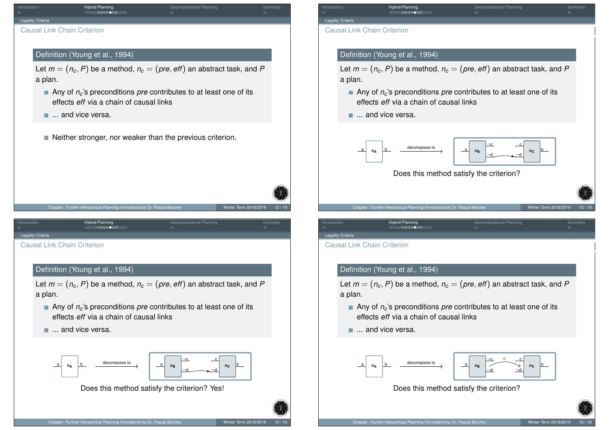<span id="page-5-0"></span>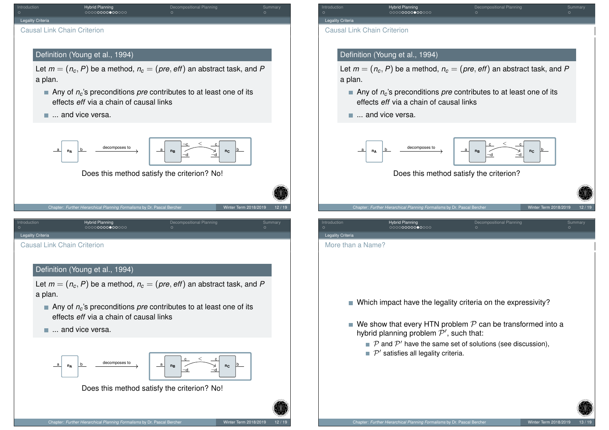<span id="page-6-0"></span>

Introduction **Hybrid Planning Compositional Planning Summary** Summary

# Definition (Young et al., 1994)

Let  $m = (n_c, P)$  be a method,  $n_c = (pre, eff)$  an abstract task, and P

■ Any of *n<sub>c</sub>*'s preconditions *pre* contributes to at least one of its effects *eff* via a chain of causal links



Does this method satisfy the criterion?

Chapter: Further Hierarchical Planning Formalisms by Dr. Pascal Be

|            | <u>UUUUUUUUUUUUUU</u>                                          |                                                                                        |  |
|------------|----------------------------------------------------------------|----------------------------------------------------------------------------------------|--|
| ia         |                                                                |                                                                                        |  |
| ın a Name? |                                                                |                                                                                        |  |
|            |                                                                |                                                                                        |  |
|            |                                                                |                                                                                        |  |
|            |                                                                |                                                                                        |  |
|            | ■ Which impact have the legality criteria on the expressivity? |                                                                                        |  |
|            |                                                                | $\blacksquare$ We show that every HTN problem ${\mathcal P}$ can be transformed into a |  |

- hybrid planning problem  $\mathcal{P}',$  such that:
	- $\mathcal P$  and  $\mathcal P'$  have the same set of solutions (see discussion),
	- $\mathcal{P}'$  satisfies all legality criteria.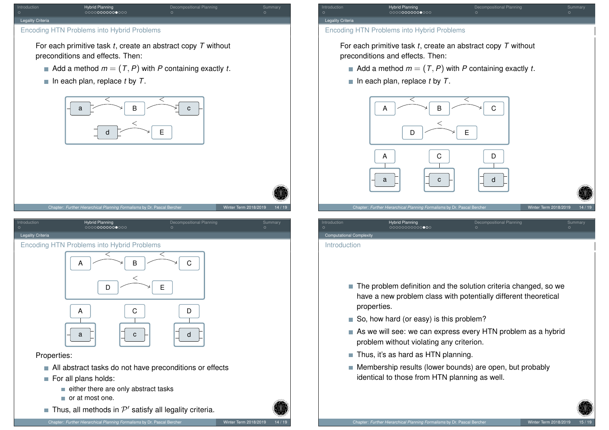#### Legality Criteria

# Encoding HTN Problems into Hybrid Problems

For each primitive task *t*, create an abstract copy *T* without preconditions and effects. Then:

 $\blacksquare$  Add a method  $m = (T, P)$  with P containing exactly *t*.

Introduction **Hybrid Planning Compositional Planning Summary** Summary

 $\blacksquare$  In each plan, replace *t* by *T*.



#### <span id="page-7-0"></span>[Le](#page-0-0)gality Criteria

[Enc](#page-2-0)[oding H](#page-7-0)TN [P](#page-0-0)[ro](#page-1-0)[bl](#page-2-0)[e](#page-3-0)[m](#page-4-0)[s](#page-6-0) [in](#page-7-0)[to](#page-8-0) Hybrid Probl[em](#page-8-0)s



# Properties:

- All abstract tasks do not have preconditions or effects
- For all plans holds:
	- $\blacksquare$  either there are only abstract tasks
	- or at most one.
- Thus, all methods in  $\mathcal{P}'$  satisfy all legality criteria.

# Legality Criteria Encoding HTN Problems into Hybrid Problems

For each primitive task *t*, create an abstract copy *T* without preconditions and effects. Then:

Introduction **Ary Hybrid Planning Compositional Planning Summary** Summary

- $\blacksquare$  Add a method  $m = (T, P)$  with P containing exactly *t*.
- $\blacksquare$  In each plan, replace *t* by *T*.



Computational Complexity

## Introduction

- The problem definition and the solution criteria changed, so we have a new problem class with potentially different theoretical properties.
- So, how hard (or easy) is this problem?
- As we will see: we can express every HTN problem as a hybrid problem without violating any criterion.
- $\blacksquare$  Thus, it's as hard as HTN planning.
- **Membership results (lower bounds) are open, but probably** identical to those from HTN planning as well.